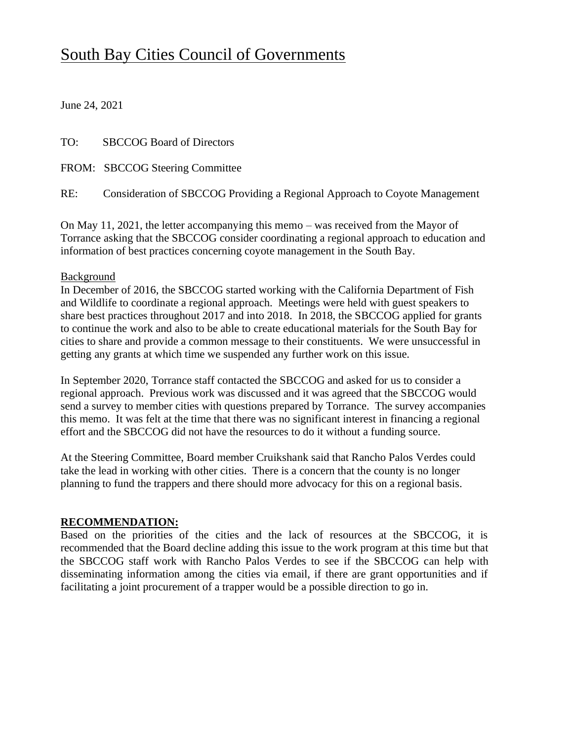## South Bay Cities Council of Governments

June 24, 2021

TO: SBCCOG Board of Directors

FROM: SBCCOG Steering Committee

RE: Consideration of SBCCOG Providing a Regional Approach to Coyote Management

On May 11, 2021, the letter accompanying this memo – was received from the Mayor of Torrance asking that the SBCCOG consider coordinating a regional approach to education and information of best practices concerning coyote management in the South Bay.

## **Background**

In December of 2016, the SBCCOG started working with the California Department of Fish and Wildlife to coordinate a regional approach. Meetings were held with guest speakers to share best practices throughout 2017 and into 2018. In 2018, the SBCCOG applied for grants to continue the work and also to be able to create educational materials for the South Bay for cities to share and provide a common message to their constituents. We were unsuccessful in getting any grants at which time we suspended any further work on this issue.

In September 2020, Torrance staff contacted the SBCCOG and asked for us to consider a regional approach. Previous work was discussed and it was agreed that the SBCCOG would send a survey to member cities with questions prepared by Torrance. The survey accompanies this memo. It was felt at the time that there was no significant interest in financing a regional effort and the SBCCOG did not have the resources to do it without a funding source.

At the Steering Committee, Board member Cruikshank said that Rancho Palos Verdes could take the lead in working with other cities. There is a concern that the county is no longer planning to fund the trappers and there should more advocacy for this on a regional basis.

## **RECOMMENDATION:**

Based on the priorities of the cities and the lack of resources at the SBCCOG, it is recommended that the Board decline adding this issue to the work program at this time but that the SBCCOG staff work with Rancho Palos Verdes to see if the SBCCOG can help with disseminating information among the cities via email, if there are grant opportunities and if facilitating a joint procurement of a trapper would be a possible direction to go in.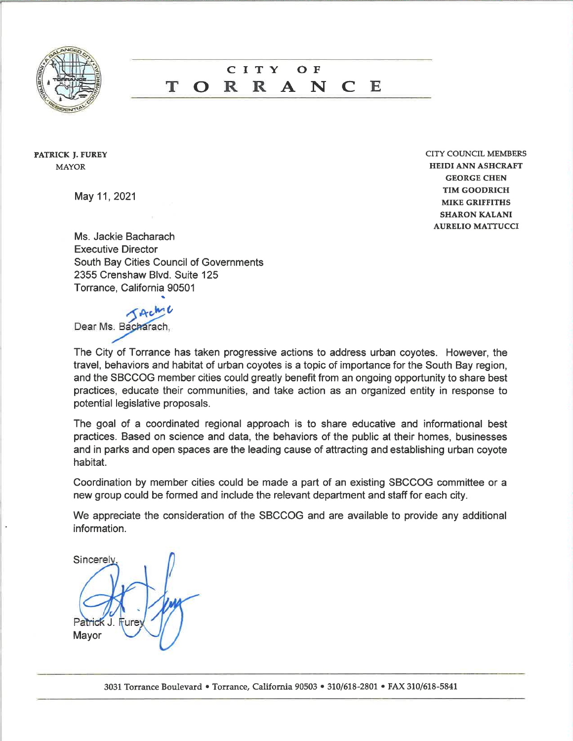

## CITY  $O$  F R R A N т F. O  $\Gamma$

**PATRICK J. FUREY MAYOR** 

May 11, 2021

**CITY COUNCIL MEMBERS HEIDI ANN ASHCRAFT GEORGE CHEN TIM GOODRICH MIKE GRIFFITHS SHARON KALANI AURELIO MATTUCCI** 

Ms. Jackie Bacharach **Executive Director** South Bay Cities Council of Governments 2355 Crenshaw Blvd. Suite 125 Torrance, California 90501

Dear Ms. Bacharach,

The City of Torrance has taken progressive actions to address urban coyotes. However, the travel, behaviors and habitat of urban coyotes is a topic of importance for the South Bay region, and the SBCCOG member cities could greatly benefit from an ongoing opportunity to share best practices, educate their communities, and take action as an organized entity in response to potential legislative proposals.

The goal of a coordinated regional approach is to share educative and informational best practices. Based on science and data, the behaviors of the public at their homes, businesses and in parks and open spaces are the leading cause of attracting and establishing urban coyote habitat.

Coordination by member cities could be made a part of an existing SBCCOG committee or a new group could be formed and include the relevant department and staff for each city.

We appreciate the consideration of the SBCCOG and are available to provide any additional information.

Sincerely Mayor